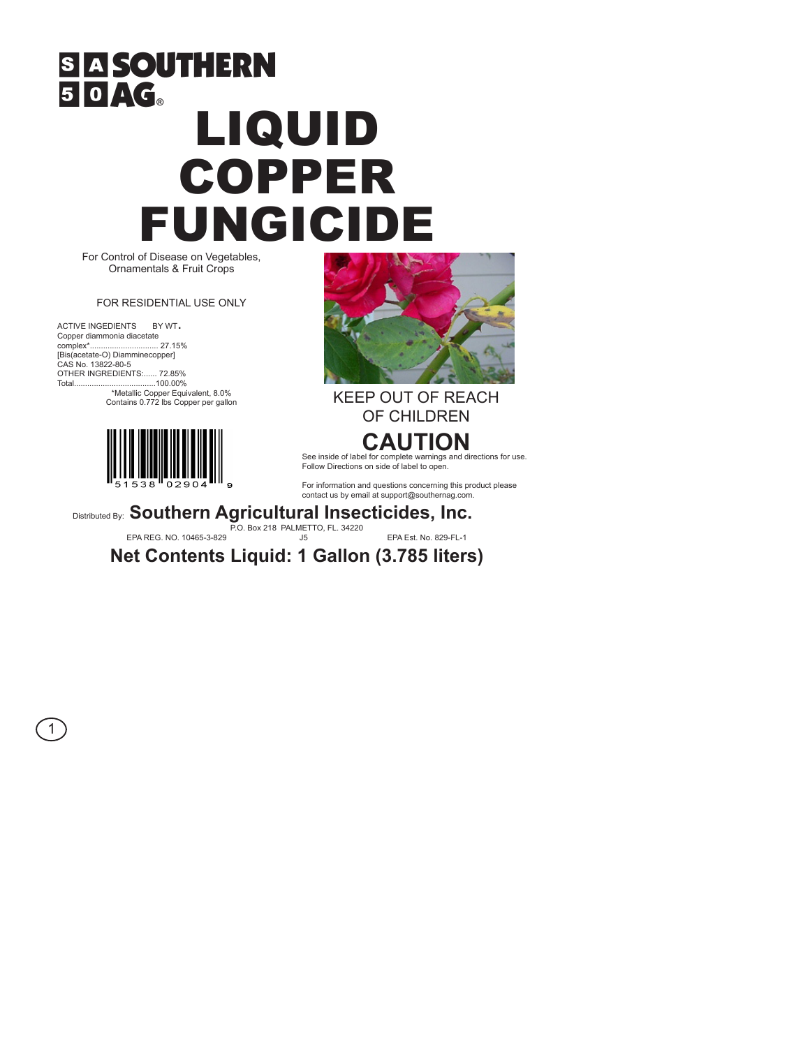# **SIA SOUTHERN** 50AG. LIQUID COPPER FUNGICIDE

For Control of Disease on Vegetables, Ornamentals & Fruit Crops

#### FOR RESIDENTIAL USE ONLY

ACTIVE INGEDIENTS BY WT. Copper diammonia diacetate<br>complex\*................................ 27.15% [Bis(acetate-O) Diamminecopper] CAS No. 13822-80-5 OTHER INGREDIENTS:...... 72.85%

1





Total.....................................100.00% \*Metallic Copper Equivalent, 8.0% Contains 0.772 lbs Copper per gallon KEEP OUT OF REACH OF CHILDREN

## **CAUTION**

See inside of label for complete warnings and directions for use. Follow Directions on side of label to open.

For information and questions concerning this product please contact us by email at support@southernag.com.

Distributed By: **Southern Agricultural Insecticides, Inc.**

P.O. Box 218 PALMETTO, FL. 34220 EPA REG. NO. 10465-3-829 J5 EPA Est. No. 829-FL-1

**Net Contents Liquid: 1 Gallon (3.785 liters)**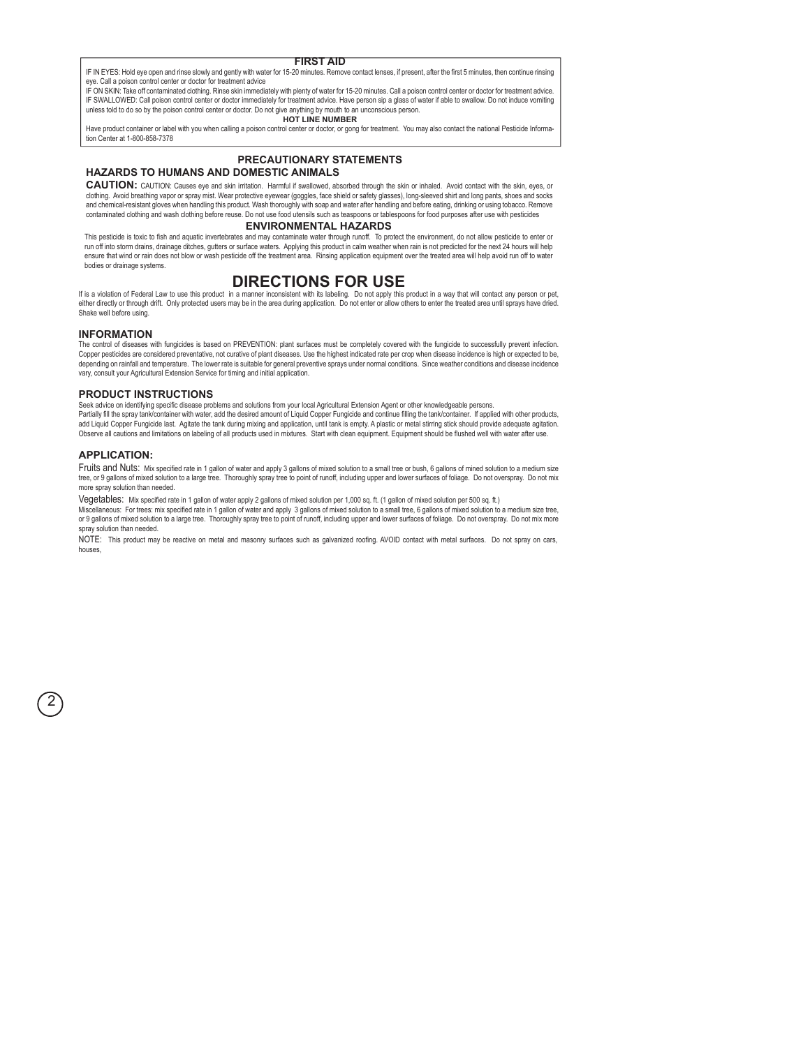#### **FIRST AID**

IF IN EYES: Hold eye open and rinse slowly and gently with water for 15-20 minutes. Remove contact lenses, if present, after the first 5 minutes, then continue rinsing eye. Call a poison control center or doctor for treatment advice

IF ON SKIN: Take off contaminated clothing. Rinse skin immediately with plenty of water for 15-20 minutes. Call a poison control center or doctor for treatment advice. IF SWALLOWED: Call poison control center or doctor immediately for treatment advice. Have person sip a glass of water if able to swallow. Do not induce vomiting unless told to do so by the poison control center or doctor. Do not give anything by mouth to an unconscious person. **HOT LINE NUMBER**

Have product container or label with you when calling a poison control center or doctor, or gong for treatment. You may also contact the national Pesticide Information Center at 1-800-858-7378

### **PRECAUTIONARY STATEMENTS**

#### **HAZARDS TO HUMANS AND DOMESTIC ANIMALS**

**CAUTION:** CAUTION: Causes eye and skin irritation. Harmful if swallowed, absorbed through the skin or inhaled. Avoid contact with the skin, eyes, or clothing. Avoid breathing vapor or spray mist. Wear protective eyewear (goggles, face shield or safety glasses), long-sleeved shirt and long pants, shoes and socks and chemical-resistant gloves when handling this product. Wash thoroughly with soap and water after handling and before eating, drinking or using tobacco. Remove contaminated clothing and wash clothing before reuse. Do not use food utensils such as teaspoons or tablespoons for food purposes after use with pesticides

#### **ENVIRONMENTAL HAZARDS**

This pesticide is toxic to fish and aquatic invertebrates and may contaminate water through runoff. To protect the environment, do not allow pesticide to enter or run off into storm drains, drainage ditches, gutters or surface waters. Applying this product in calm weather when rain is not predicted for the next 24 hours will help ensure that wind or rain does not blow or wash pesticide off the treatment area. Rinsing application equipment over the treated area will help avoid run off to water bodies or drainage systems.

#### **DIRECTIONS FOR USE**

If is a violation of Federal Law to use this product in a manner inconsistent with its labeling. Do not apply this product in a way that will contact any person or pet, either directly or through drift. Only protected users may be in the area during application. Do not enter or allow others to enter the treated area until sprays have dried. Shake well before using.

#### **INFORMATION**

The control of diseases with fungicides is based on PREVENTION: plant surfaces must be completely covered with the fungicide to successfully prevent infection. Copper pesticides are considered preventative, not curative of plant diseases. Use the highest indicated rate per crop when disease incidence is high or expected to be, depending on rainfall and temperature. The lower rate is suitable for general preventive sprays under normal conditions. Since weather conditions and disease incidence vary, consult your Agricultural Extension Service for timing and initial application.

#### **PRODUCT INSTRUCTIONS**

Seek advice on identifying specific disease problems and solutions from your local Agricultural Extension Agent or other knowledgeable persons. Partially fill the spray tank/container with water, add the desired amount of Liquid Copper Fungicide and continue filling the tank/container. If applied with other products, add Liquid Copper Fungicide last. Agitate the tank during mixing and application, until tank is empty. A plastic or metal stirring stick should provide adequate agitation. Observe all cautions and limitations on labeling of all products used in mixtures. Start with clean equipment. Equipment should be flushed well with water after use.

#### **APPLICATION:**

2

Fruits and Nuts: Mix specified rate in 1 gallon of water and apply 3 gallons of mixed solution to a small tree or bush, 6 gallons of mined solution to a medium size tree, or 9 gallons of mixed solution to a large tree. Thoroughly spray tree to point of runoff, including upper and lower surfaces of foliage. Do not overspray. Do not mix more spray solution than needed.

Vegetables: Mix specified rate in 1 gallon of water apply 2 gallons of mixed solution per 1,000 sq. ft. (1 gallon of mixed solution per 500 sq. ft.)

Miscellaneous: For trees: mix specified rate in 1 gallon of water and apply 3 gallons of mixed solution to a small tree, 6 gallons of mixed solution to a medium size tree, or 9 gallons of mixed solution to a large tree. Thoroughly spray tree to point of runoff, including upper and lower surfaces of foliage. Do not overspray. Do not mix more spray solution than needed.

NOTE: This product may be reactive on metal and masonry surfaces such as galvanized roofing. AVOID contact with metal surfaces. Do not spray on cars, houses,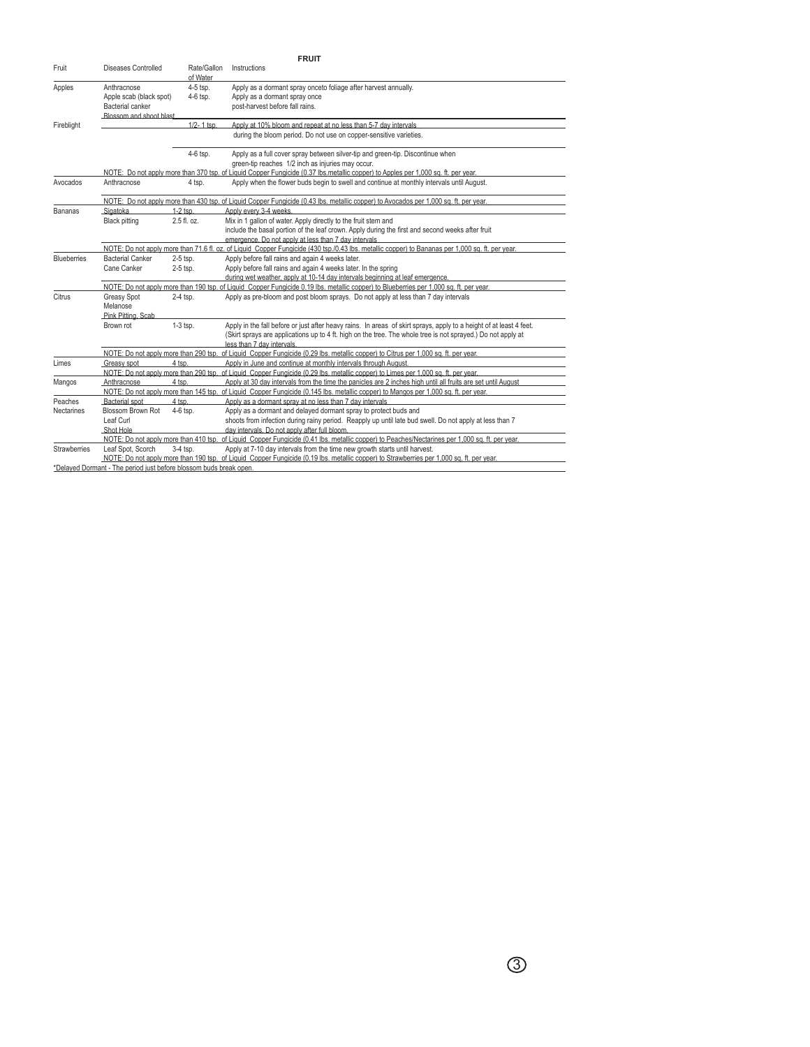| <b>FRUIT</b>       |                                                                                                                                                  |                         |                                                                                                                                                                                                                                                                   |  |  |
|--------------------|--------------------------------------------------------------------------------------------------------------------------------------------------|-------------------------|-------------------------------------------------------------------------------------------------------------------------------------------------------------------------------------------------------------------------------------------------------------------|--|--|
| Fruit              | Diseases Controlled                                                                                                                              | Rate/Gallon<br>of Water | Instructions                                                                                                                                                                                                                                                      |  |  |
| Apples             | Anthracnose<br>Apple scab (black spot)<br>Bacterial canker<br>Blossom and shoot blast                                                            | 4-5 tsp.<br>4-6 tsp.    | Apply as a dormant spray onceto foliage after harvest annually.<br>Apply as a dormant spray once<br>post-harvest before fall rains.                                                                                                                               |  |  |
| Fireblight         |                                                                                                                                                  | 1/2-1 tsp.              | Apply at 10% bloom and repeat at no less than 5-7 day intervals<br>during the bloom period. Do not use on copper-sensitive varieties.                                                                                                                             |  |  |
|                    |                                                                                                                                                  | 4-6 tsp.                | Apply as a full cover spray between silver-tip and green-tip. Discontinue when<br>green-tip reaches 1/2 inch as injuries may occur.                                                                                                                               |  |  |
|                    | NOTE: Do not apply more than 370 tsp, of Liquid Copper Fungicide (0.37 lbs, metallic copper) to Apples per 1,000 sq. ft, per year.               |                         |                                                                                                                                                                                                                                                                   |  |  |
| Avocados           | Anthracnose                                                                                                                                      | 4 tsp.                  | Apply when the flower buds begin to swell and continue at monthly intervals until August.                                                                                                                                                                         |  |  |
|                    | NOTE: Do not apply more than 430 tsp. of Liquid Copper Fungicide (0.43 lbs. metallic copper) to Avocados per 1,000 sq. ft. per year.             |                         |                                                                                                                                                                                                                                                                   |  |  |
| Bananas            | Sigatoka                                                                                                                                         | $1-2$ tsp.              | Apply every 3-4 weeks.                                                                                                                                                                                                                                            |  |  |
|                    | <b>Black pitting</b>                                                                                                                             | 2.5 fl. oz.             | Mix in 1 gallon of water. Apply directly to the fruit stem and<br>include the basal portion of the leaf crown. Apply during the first and second weeks after fruit<br>emergence. Do not apply at less than 7 day intervals                                        |  |  |
|                    | NOTE: Do not apply more than 71.6 fl. oz. of Liquid Copper Fungicide (430 tsp./0.43 lbs. metallic copper) to Bananas per 1,000 sq. ft. per year. |                         |                                                                                                                                                                                                                                                                   |  |  |
| <b>Blueberries</b> | <b>Bacterial Canker</b><br>2-5 tsp.                                                                                                              |                         | Apply before fall rains and again 4 weeks later.                                                                                                                                                                                                                  |  |  |
|                    | Cane Canker                                                                                                                                      | 2-5 tsp.                | Apply before fall rains and again 4 weeks later. In the spring<br>during wet weather, apply at 10-14 day intervals beginning at leaf emergence.                                                                                                                   |  |  |
|                    | NOTE: Do not apply more than 190 tsp, of Liquid Copper Fungicide 0.19 lbs, metallic copper) to Blueberries per 1,000 sq, ft, per year.           |                         |                                                                                                                                                                                                                                                                   |  |  |
| Citrus             | Greasy Spot<br>Melanose<br>Pink Pitting, Scab                                                                                                    | 2-4 tsp.                | Apply as pre-bloom and post bloom sprays. Do not apply at less than 7 day intervals                                                                                                                                                                               |  |  |
|                    | Brown rot                                                                                                                                        | $1-3$ tsp.              | Apply in the fall before or just after heavy rains. In areas of skirt sprays, apply to a height of at least 4 feet.<br>(Skirt sprays are applications up to 4 ft. high on the tree. The whole tree is not sprayed.) Do not apply at<br>less than 7 day intervals. |  |  |
|                    |                                                                                                                                                  |                         | NOTE: Do not apply more than 290 tsp. of Liquid Copper Fungicide (0.29 lbs. metallic copper) to Citrus per 1,000 sq. ft. per year.                                                                                                                                |  |  |
| Limes              | Greasy spot                                                                                                                                      | 4 tsp.                  | Apply in June and continue at monthly intervals through August.                                                                                                                                                                                                   |  |  |
|                    |                                                                                                                                                  |                         | NOTE: Do not apply more than 290 tsp. of Liquid Copper Fungicide (0.29 lbs. metallic copper) to Limes per 1,000 sq. ft. per year.                                                                                                                                 |  |  |
| Mangos             | Anthracnose                                                                                                                                      | 4 tsp.                  | Apply at 30 day intervals from the time the panicles are 2 inches high until all fruits are set until August                                                                                                                                                      |  |  |
|                    | NOTE: Do not apply more than 145 tsp. of Liquid Copper Fungicide (0.145 lbs. metallic copper) to Mangos per 1,000 sq. ft. per year.              |                         |                                                                                                                                                                                                                                                                   |  |  |
| Peaches            | <b>Bacterial</b> spot                                                                                                                            | 4 tsp.                  | Apply as a dormant spray at no less than 7 day intervals                                                                                                                                                                                                          |  |  |
| <b>Nectarines</b>  | Blossom Brown Rot<br>Leaf Curl                                                                                                                   | $4-6$ tsp.              | Apply as a dormant and delayed dormant spray to protect buds and<br>shoots from infection during rainy period. Reapply up until late bud swell. Do not apply at less than 7                                                                                       |  |  |
|                    | Shot Hole                                                                                                                                        |                         | day intervals. Do not apply after full bloom.                                                                                                                                                                                                                     |  |  |
|                    |                                                                                                                                                  |                         | NOTE: Do not apply more than 410 tsp. of Liquid Copper Fungicide (0.41 lbs. metallic copper) to Peaches/Nectarines per 1,000 sq. ft. per year.                                                                                                                    |  |  |
| Strawberries       | Leaf Spot. Scorch                                                                                                                                | $3-4$ tsp.              | Apply at 7-10 day intervals from the time new growth starts until harvest.                                                                                                                                                                                        |  |  |
|                    |                                                                                                                                                  |                         | NOTE: Do not apply more than 190 tsp. of Liquid Copper Fungicide (0.19 lbs, metallic copper) to Strawberries per 1,000 sq. ft, per year.                                                                                                                          |  |  |
|                    | *Delaved Dormant - The period just before blossom buds break open.                                                                               |                         |                                                                                                                                                                                                                                                                   |  |  |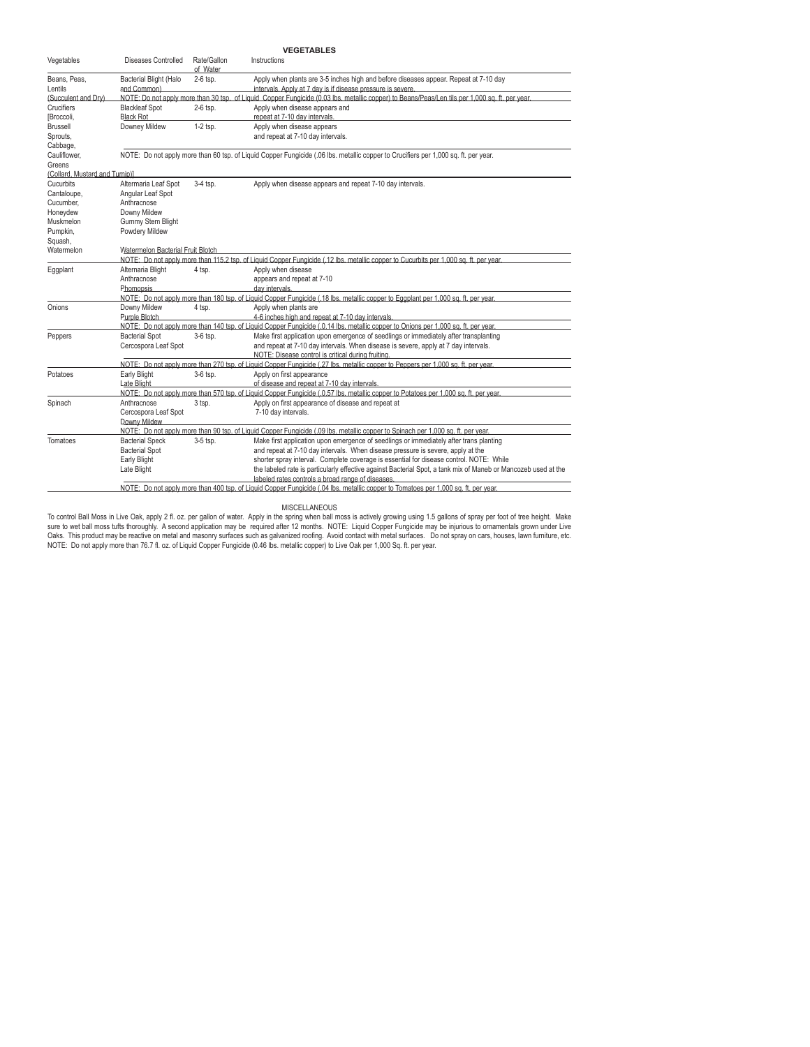| <b>VEGETABLES</b>                                                                                                                                                                                   |                                                                                                                                                 |                         |                                                                                                                                                                                                                                                                                                                                                                                                                                                                                                                                                                                 |  |  |  |
|-----------------------------------------------------------------------------------------------------------------------------------------------------------------------------------------------------|-------------------------------------------------------------------------------------------------------------------------------------------------|-------------------------|---------------------------------------------------------------------------------------------------------------------------------------------------------------------------------------------------------------------------------------------------------------------------------------------------------------------------------------------------------------------------------------------------------------------------------------------------------------------------------------------------------------------------------------------------------------------------------|--|--|--|
| Vegetables                                                                                                                                                                                          | Diseases Controlled                                                                                                                             | Rate/Gallon<br>of Water | Instructions                                                                                                                                                                                                                                                                                                                                                                                                                                                                                                                                                                    |  |  |  |
| Beans, Peas,<br>Lentils                                                                                                                                                                             | Bacterial Blight (Halo<br>and Common)                                                                                                           | 2-6 tsp.                | Apply when plants are 3-5 inches high and before diseases appear. Repeat at 7-10 day<br>intervals. Apply at 7 day is if disease pressure is severe.                                                                                                                                                                                                                                                                                                                                                                                                                             |  |  |  |
| (Succulent and Drv)                                                                                                                                                                                 | NOTE: Do not apply more than 30 tsp. of Liquid. Copper Fungicide (0.03 lbs. metallic copper) to Beans/Peas/Len tils per 1,000 sq. ft. per year. |                         |                                                                                                                                                                                                                                                                                                                                                                                                                                                                                                                                                                                 |  |  |  |
| Crucifiers<br>[Broccoli.                                                                                                                                                                            | <b>Blackleaf Spot</b><br><b>Black Rot</b>                                                                                                       | 2-6 tsp.                | Apply when disease appears and<br>repeat at 7-10 day intervals.                                                                                                                                                                                                                                                                                                                                                                                                                                                                                                                 |  |  |  |
| <b>Brussell</b><br>Sprouts,<br>Cabbage,                                                                                                                                                             | Downey Mildew                                                                                                                                   | $1-2$ tsp.              | Apply when disease appears<br>and repeat at 7-10 day intervals.                                                                                                                                                                                                                                                                                                                                                                                                                                                                                                                 |  |  |  |
| Cauliflower,<br>Greens                                                                                                                                                                              | NOTE: Do not apply more than 60 tsp. of Liquid Copper Fungicide (.06 lbs. metallic copper to Crucifiers per 1,000 sq. ft. per year.             |                         |                                                                                                                                                                                                                                                                                                                                                                                                                                                                                                                                                                                 |  |  |  |
| (Collard, Mustard and Turnip)]                                                                                                                                                                      |                                                                                                                                                 |                         |                                                                                                                                                                                                                                                                                                                                                                                                                                                                                                                                                                                 |  |  |  |
| Cucurbits<br>Cantaloupe.                                                                                                                                                                            | Altermaria Leaf Spot<br>Angular Leaf Spot                                                                                                       | 3-4 tsp.                | Apply when disease appears and repeat 7-10 day intervals.                                                                                                                                                                                                                                                                                                                                                                                                                                                                                                                       |  |  |  |
| Cucumber.<br>Honeydew                                                                                                                                                                               | Anthracnose<br>Downy Mildew                                                                                                                     |                         |                                                                                                                                                                                                                                                                                                                                                                                                                                                                                                                                                                                 |  |  |  |
| Muskmelon<br>Pumpkin,                                                                                                                                                                               | <b>Gummy Stem Blight</b><br>Powdery Mildew                                                                                                      |                         |                                                                                                                                                                                                                                                                                                                                                                                                                                                                                                                                                                                 |  |  |  |
| Squash,<br>Watermelon Bacterial Fruit Blotch<br>Watermelon<br>NOTE: Do not apply more than 115.2 tsp. of Liquid Copper Fungicide (.12 lbs. metallic copper to Cucurbits per 1,000 sq. ft. per year. |                                                                                                                                                 |                         |                                                                                                                                                                                                                                                                                                                                                                                                                                                                                                                                                                                 |  |  |  |
| Eggplant                                                                                                                                                                                            | Alternaria Blight<br>Anthracnose<br>Phomopsis.                                                                                                  | 4 tsp.                  | Apply when disease<br>appears and repeat at 7-10<br>day intervals.<br>NOTE: Do not apply more than 180 tsp, of Liquid Copper Fungicide (.18 lbs, metallic copper to Eggplant per 1,000 sq. ft, per year,                                                                                                                                                                                                                                                                                                                                                                        |  |  |  |
| Onions                                                                                                                                                                                              | Downy Mildew<br>Purple Blotch                                                                                                                   | 4 tsp.                  | Apply when plants are<br>4-6 inches high and repeat at 7-10 day intervals.<br>NOTE: Do not apply more than 140 tsp, of Liquid Copper Fungicide (.0.14 lbs, metallic copper to Onions per 1,000 sq. ft, per year,                                                                                                                                                                                                                                                                                                                                                                |  |  |  |
| Peppers                                                                                                                                                                                             | <b>Bacterial Spot</b><br>Cercospora Leaf Spot                                                                                                   | $3-6$ tsp.              | Make first application upon emergence of seedlings or immediately after transplanting<br>and repeat at 7-10 day intervals. When disease is severe, apply at 7 day intervals.<br>NOTE: Disease control is critical during fruiting.                                                                                                                                                                                                                                                                                                                                              |  |  |  |
| Potatoes                                                                                                                                                                                            | Early Blight<br>Late Blight                                                                                                                     | 3-6 tsp.                | NOTE: Do not apply more than 270 tsp. of Liquid Copper Fungicide (.27 lbs. metallic copper to Peppers per 1,000 sq. ft. per year.<br>Apply on first appearance<br>of disease and repeat at 7-10 day intervals.<br>NOTE: Do not apply more than 570 tsp. of Liquid Copper Fungicide (.0.57 lbs. metallic copper to Potatoes per 1,000 sq. ft. per year.                                                                                                                                                                                                                          |  |  |  |
| Spinach                                                                                                                                                                                             | Anthracnose<br>Cercospora Leaf Spot<br>Downy Mildew                                                                                             | 3 tsp.                  | Apply on first appearance of disease and repeat at<br>7-10 day intervals.                                                                                                                                                                                                                                                                                                                                                                                                                                                                                                       |  |  |  |
| Tomatoes                                                                                                                                                                                            | <b>Bacterial Speck</b><br><b>Bacterial Spot</b><br>Early Blight<br>Late Blight                                                                  | 3-5 tsp.                | NOTE: Do not apply more than 90 tsp. of Liquid Copper Fungicide (.09 lbs, metallic copper to Spinach per 1,000 sq. ft, per year,<br>Make first application upon emergence of seedlings or immediately after trans planting<br>and repeat at 7-10 day intervals. When disease pressure is severe, apply at the<br>shorter spray interval. Complete coverage is essential for disease control. NOTE: While<br>the labeled rate is particularly effective against Bacterial Spot, a tank mix of Maneb or Mancozeb used at the<br>labeled rates controls a broad range of diseases. |  |  |  |
|                                                                                                                                                                                                     |                                                                                                                                                 |                         | NOTE: Do not apply more than 400 tsp. of Liquid Copper Fungicide (.04 lbs. metallic copper to Tomatoes per 1,000 sq. ft. per year.                                                                                                                                                                                                                                                                                                                                                                                                                                              |  |  |  |

MSCELLANEOUS<br>sure to wet ball Moss in Live Oak, apply 2 fl. oz. per gallon of water. Apply in the spirit was the flow most<br>Sure to wet ball moss tufts thoroughly. A second application may be required after 12 months. NOTE: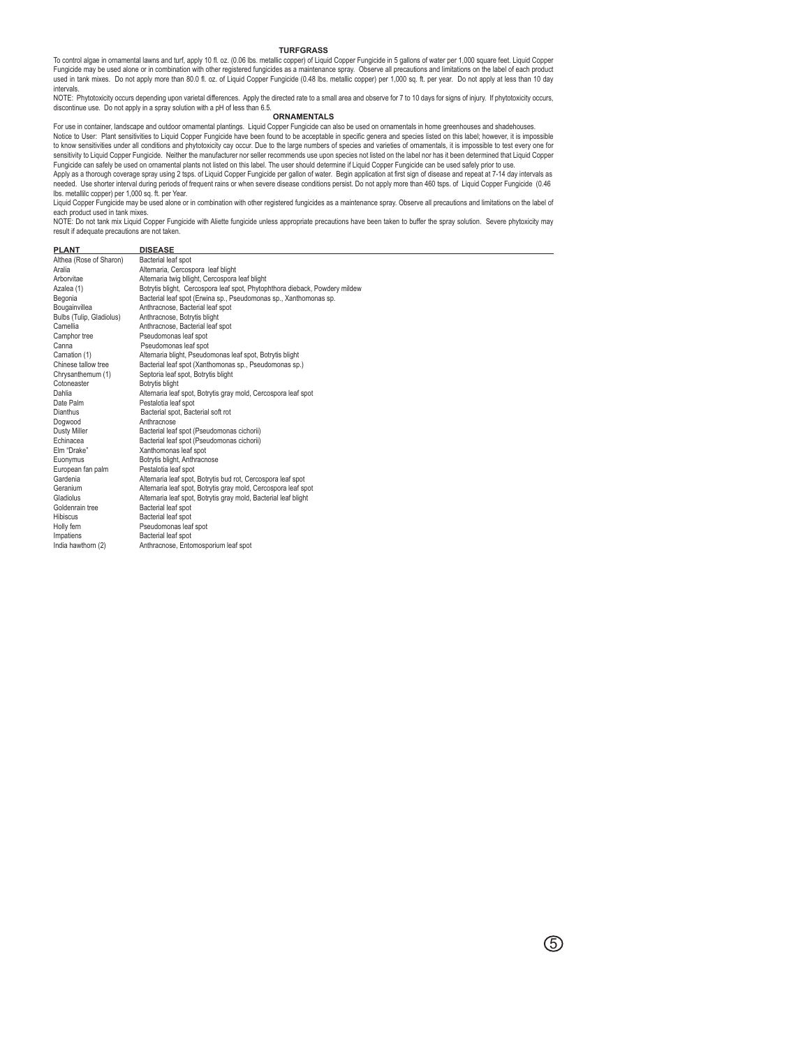#### **TURFGRASS**

To control algae in ornamental lawns and turf, apply 10 fl. oz. (0.06 lbs. metallic copper) of Liquid Copper Fungicide in 5 gallons of water per 1,000 square feet. Liquid Copper Fungicide may be used alone or in combination with other registered fungicides as a maintenance spray. Observe all precautions and limitations on the label of each product used in tank mixes. Do not apply more than 80.0 fl. oz. of Liquid Copper Fungicide (0.48 lbs. metallic copper) per 1,000 sq. ft. per year. Do not apply at less than 10 day intervals.

NOTE: Phytotoxicity occurs depending upon varietal differences. Apply the directed rate to a small area and observe for 7 to 10 days for signs of injury. If phytotoxicity occurs, discontinue use. Do not apply in a spray solution with a pH of less than 6.5.

**ORNAMENTALS**

For use in container, landscape and outdoor ornamental plantings. Liquid Copper Fungicide can also be used on ornamentals in home greenhouses and shadehouses.<br>Notice to User: Plant sensitivities to Liquid Copper Fungicide to know sensitivities under all conditions and phytotoxicity cay occur. Due to the large numbers of species and varieties of ornamentals, it is impossible to test every one for sensitivity to Liquid Copper Fungicide. Neither the manufacturer nor seller recommends use upon species not listed on the label nor has it been determined that Liquid Copper Fungicide can safely be used on ornamental plants not listed on this label. The user should determine if Liquid Copper Fungicide can be used safely prior to use.

Apply as a thorough coverage spray using 2 tsps. of Liquid Copper Fungicide per gallon of water. Begin application at first sign of disease and repeat at 7-14 day intervals as needed. Use shorter interval during periods of frequent rains or when severe disease conditions persist. Do not apply more than 460 tsps. of Liquid Copper Fungicide (0.46 lbs. metallilc copper) per 1,000 sq. ft. per Year.

Liquid Copper Fungicide may be used alone or in combination with other registered fungicides as a maintenance spray. Observe all precautions and limitations on the label of each product used in tank mixes.

NOTE: Do not tank mix Liquid Copper Fungicide with Aliette fungicide unless appropriate precautions have been taken to buffer the spray solution. Severe phytoxicity may result if adequate precautions are not taken.

| <b>PLANT</b>             | <b>DISEASE</b>                                                              |  |  |  |
|--------------------------|-----------------------------------------------------------------------------|--|--|--|
| Althea (Rose of Sharon)  | Bacterial leaf spot                                                         |  |  |  |
| Aralia                   | Alternaria, Cercospora leaf blight                                          |  |  |  |
| Arborvitae               | Alternaria twig bllight, Cercospora leaf blight                             |  |  |  |
| Azalea (1)               | Botrytis blight, Cercospora leaf spot, Phytophthora dieback, Powdery mildew |  |  |  |
| Begonia                  | Bacterial leaf spot (Erwina sp., Pseudomonas sp., Xanthomonas sp.           |  |  |  |
| Bougainvillea            | Anthracnose, Bacterial leaf spot                                            |  |  |  |
| Bulbs (Tulip, Gladiolus) | Anthracnose, Botrytis blight                                                |  |  |  |
| Camellia                 | Anthracnose, Bacterial leaf spot                                            |  |  |  |
| Camphor tree             | Pseudomonas leaf spot                                                       |  |  |  |
| Canna                    | Pseudomonas leaf spot                                                       |  |  |  |
| Carnation (1)            | Alternaria blight, Pseudomonas leaf spot, Botrytis blight                   |  |  |  |
| Chinese tallow tree      | Bacterial leaf spot (Xanthomonas sp., Pseudomonas sp.)                      |  |  |  |
| Chrysanthemum (1)        | Septoria leaf spot, Botrytis blight                                         |  |  |  |
| Cotoneaster              | Botrytis blight                                                             |  |  |  |
| Dahlia                   | Alternaria leaf spot, Botrytis gray mold, Cercospora leaf spot              |  |  |  |
| Date Palm                | Pestalotia leaf spot                                                        |  |  |  |
| Dianthus                 | Bacterial spot, Bacterial soft rot                                          |  |  |  |
| Dogwood                  | Anthracnose                                                                 |  |  |  |
| Dusty Miller             | Bacterial leaf spot (Pseudomonas cichorii)                                  |  |  |  |
| Echinacea                | Bacterial leaf spot (Pseudomonas cichorii)                                  |  |  |  |
| Elm "Drake"              | Xanthomonas leaf spot                                                       |  |  |  |
| Euonymus                 | Botrytis blight, Anthracnose                                                |  |  |  |
| European fan palm        | Pestalotia leaf spot                                                        |  |  |  |
| Gardenia                 | Alternaria leaf spot, Botrytis bud rot, Cercospora leaf spot                |  |  |  |
| Geranium                 | Alternaria leaf spot, Botrytis gray mold, Cercospora leaf spot              |  |  |  |
| Gladiolus                | Alternaria leaf spot, Botrytis gray mold, Bacterial leaf blight             |  |  |  |
| Goldenrain tree          | Bacterial leaf spot                                                         |  |  |  |
| <b>Hibiscus</b>          | Bacterial leaf spot                                                         |  |  |  |
| Holly fern               | Pseudomonas leaf spot                                                       |  |  |  |
| Impatiens                | Bacterial leaf spot                                                         |  |  |  |
| India hawthorn (2)       | Anthracnose, Entomosporium leaf spot                                        |  |  |  |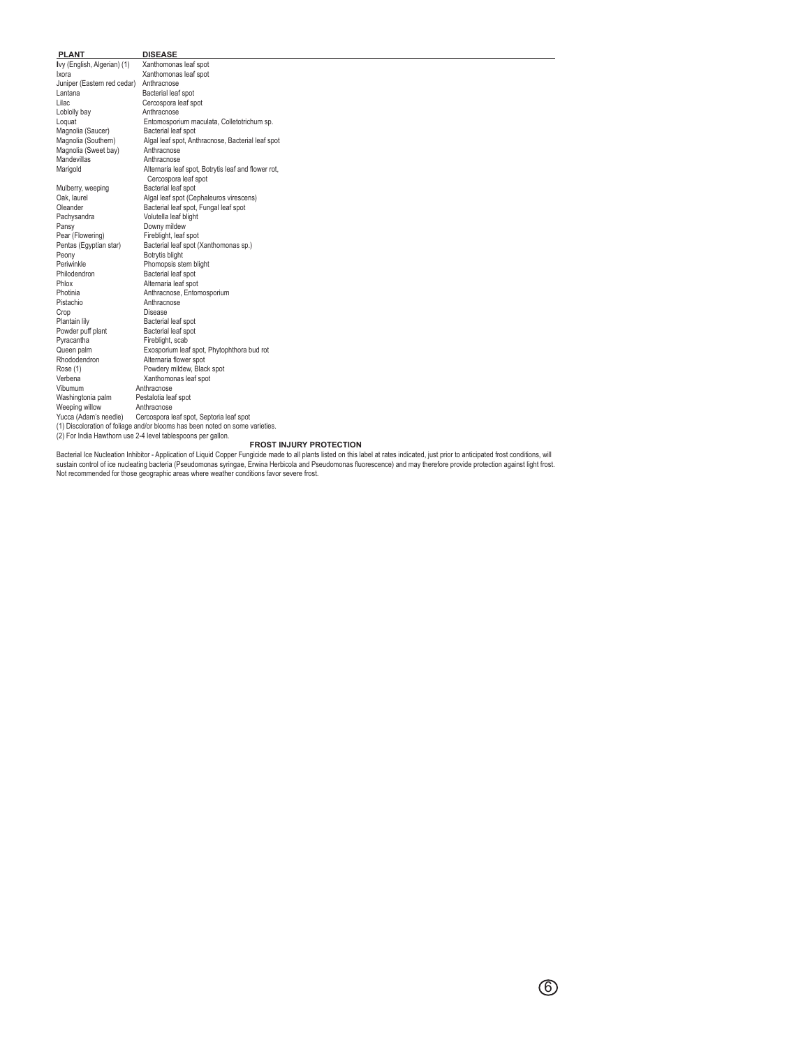| <b>PLANT</b>                            | <b>DISEASE</b>                                                               |
|-----------------------------------------|------------------------------------------------------------------------------|
| Ivy (English, Algerian) (1)             | Xanthomonas leaf spot                                                        |
| Ixora                                   | Xanthomonas leaf spot                                                        |
| Juniper (Eastern red cedar) Anthracnose |                                                                              |
| Lantana                                 | Bacterial leaf spot                                                          |
| Lilac                                   | Cercospora leaf spot                                                         |
| Loblolly bay                            | Anthracnose                                                                  |
| Loquat                                  | Entomosporium maculata, Colletotrichum sp.                                   |
| Magnolia (Saucer)                       | Bacterial leaf spot                                                          |
| Magnolia (Southern)                     | Algal leaf spot, Anthracnose, Bacterial leaf spot                            |
| Magnolia (Sweet bay)                    | Anthracnose                                                                  |
| <b>Mandevillas</b>                      | Anthracnose                                                                  |
| Marigold                                | Alternaria leaf spot, Botrytis leaf and flower rot,<br>Cercospora leaf spot  |
| Mulberry, weeping                       | Bacterial leaf spot                                                          |
| Oak, laurel                             | Algal leaf spot (Cephaleuros virescens)                                      |
| Oleander                                | Bacterial leaf spot, Fungal leaf spot                                        |
| Pachysandra                             | Volutella leaf blight                                                        |
| Pansy                                   | Downy mildew                                                                 |
| Pear (Flowering)                        | Fireblight, leaf spot                                                        |
| Pentas (Egyptian star)                  | Bacterial leaf spot (Xanthomonas sp.)                                        |
| Peony                                   | Botrytis blight                                                              |
| Periwinkle                              | Phomopsis stem blight                                                        |
| Philodendron                            | Bacterial leaf spot                                                          |
| Phlox                                   | Alternaria leaf spot                                                         |
| Photinia                                | Anthracnose, Entomosporium                                                   |
| Pistachio                               | Anthracnose                                                                  |
| Crop                                    | Disease                                                                      |
| Plantain lily                           | Bacterial leaf spot                                                          |
| Powder puff plant                       | Bacterial leaf spot                                                          |
| Pyracantha                              | Fireblight, scab                                                             |
| Queen palm                              | Exosporium leaf spot, Phytophthora bud rot                                   |
| Rhododendron                            | Alternaria flower spot                                                       |
| Rose (1)                                | Powdery mildew, Black spot                                                   |
| Verbena                                 | Xanthomonas leaf spot                                                        |
| Vibumum                                 | Anthracnose                                                                  |
| Washingtonia palm                       | Pestalotia leaf spot                                                         |
| Weeping willow                          | Anthracnose                                                                  |
| Yucca (Adam's needle)                   | Cercospora leaf spot, Septoria leaf spot                                     |
|                                         | (1) Discoloration of foliage and/or blooms has been noted on some varieties. |
|                                         | (2) For India Hawthorn use 2-4 level tablespoons per gallon.                 |
|                                         | <b>FROST INJURY PROTECTION</b>                                               |

ROST INJURY PROTECTION<br>sustain control of ice nucleating bacteria (Pseudomonas Fungicie made to all plants listed on this label at rates indicated, just prior to anticipated frost conditions, will<br>sustain control of ice nu